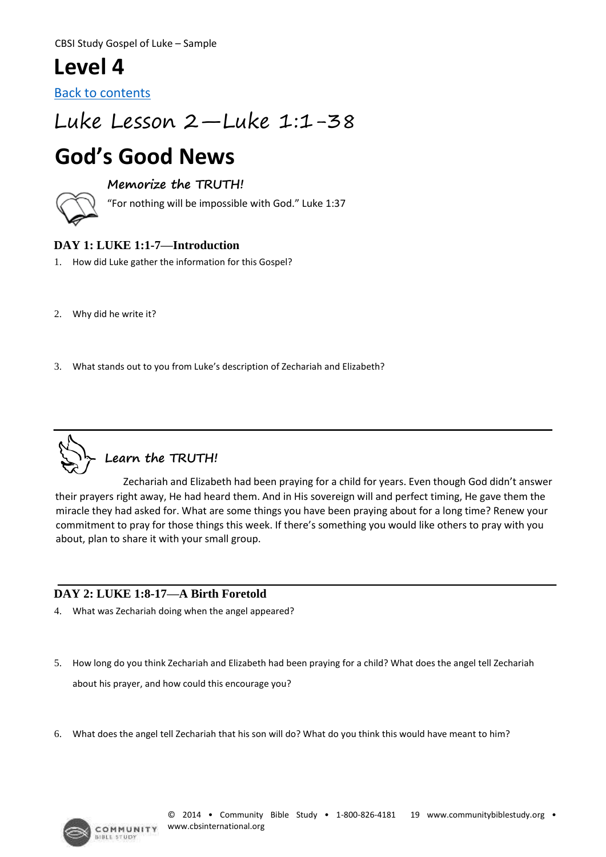CBSI Study Gospel of Luke – Sample

## **Level 4**

[Back to contents](#page--1-0)

## Luke Lesson 2—Luke 1:1-38

# **God's Good News**

#### **Memorize the TRUTH!**

"For nothing will be impossible with God." Luke 1:37

#### **DAY 1: LUKE 1:1-7—Introduction**

- 1. How did Luke gather the information for this Gospel?
- 2. Why did he write it?
- 3. What stands out to you from Luke's description of Zechariah and Elizabeth?



Zechariah and Elizabeth had been praying for a child for years. Even though God didn't answer their prayers right away, He had heard them. And in His sovereign will and perfect timing, He gave them the miracle they had asked for. What are some things you have been praying about for a long time? Renew your commitment to pray for those things this week. If there's something you would like others to pray with you about, plan to share it with your small group.

#### **DAY 2: LUKE 1:8-17—A Birth Foretold**

- 4. What was Zechariah doing when the angel appeared?
- 5. How long do you think Zechariah and Elizabeth had been praying for a child? What does the angel tell Zechariah about his prayer, and how could this encourage you?
- 6. What does the angel tell Zechariah that his son will do? What do you think this would have meant to him?

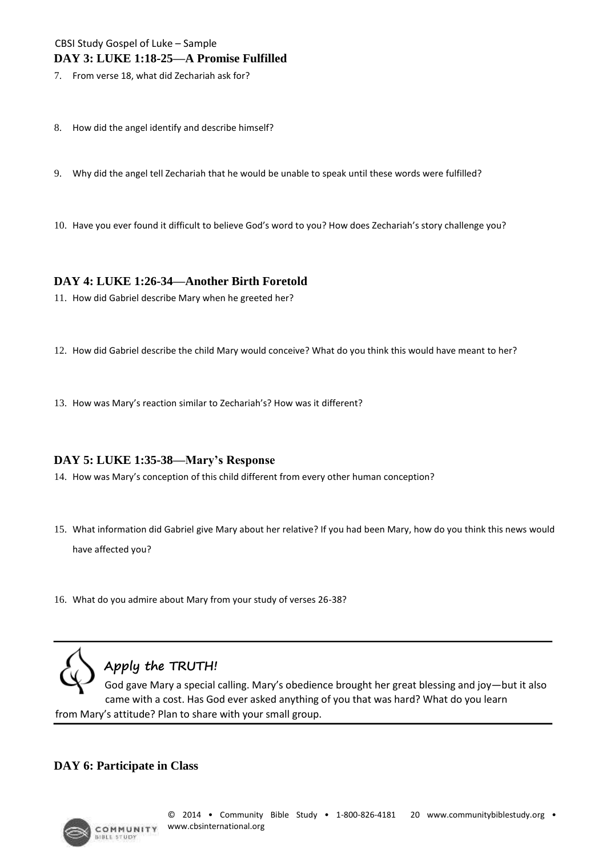#### CBSI Study Gospel of Luke – Sample **DAY 3: LUKE 1:18-25—A Promise Fulfilled**

7. From verse 18, what did Zechariah ask for?

- 8. How did the angel identify and describe himself?
- 9. Why did the angel tell Zechariah that he would be unable to speak until these words were fulfilled?
- 10. Have you ever found it difficult to believe God's word to you? How does Zechariah's story challenge you?

#### **DAY 4: LUKE 1:26-34—Another Birth Foretold**

- 11. How did Gabriel describe Mary when he greeted her?
- 12. How did Gabriel describe the child Mary would conceive? What do you think this would have meant to her?
- 13. How was Mary's reaction similar to Zechariah's? How was it different?

#### **DAY 5: LUKE 1:35-38—Mary's Response**

- 14. How was Mary's conception of this child different from every other human conception?
- 15. What information did Gabriel give Mary about her relative? If you had been Mary, how do you think this news would have affected you?
- 16. What do you admire about Mary from your study of verses 26-38?



### **Apply the TRUTH!**

God gave Mary a special calling. Mary's obedience brought her great blessing and joy—but it also came with a cost. Has God ever asked anything of you that was hard? What do you learn from Mary's attitude? Plan to share with your small group.

#### **DAY 6: Participate in Class**

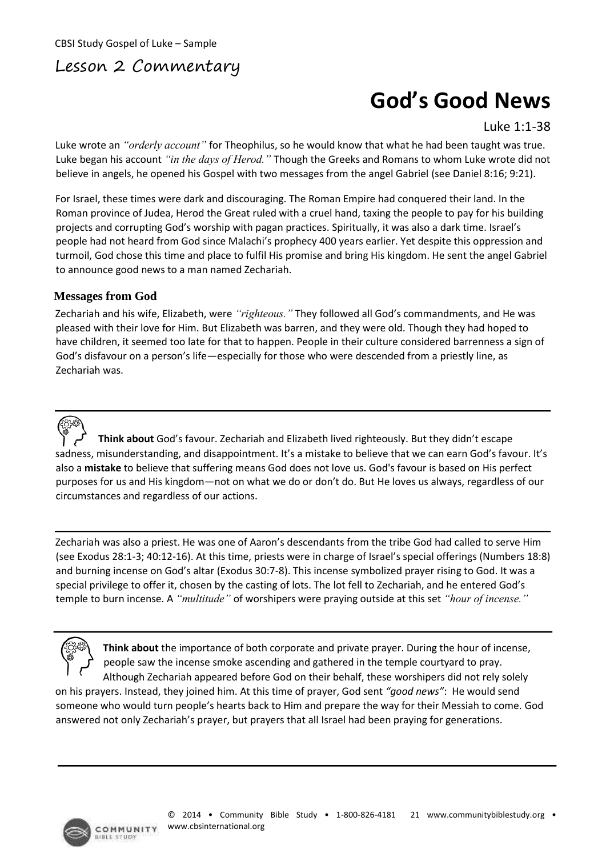### Lesson 2 Commentary

# **God's Good News**

Luke 1:1-38

Luke wrote an *"orderly account"* for Theophilus, so he would know that what he had been taught was true. Luke began his account *"in the days of Herod."* Though the Greeks and Romans to whom Luke wrote did not believe in angels, he opened his Gospel with two messages from the angel Gabriel (see Daniel 8:16; 9:21).

For Israel, these times were dark and discouraging. The Roman Empire had conquered their land. In the Roman province of Judea, Herod the Great ruled with a cruel hand, taxing the people to pay for his building projects and corrupting God's worship with pagan practices. Spiritually, it was also a dark time. Israel's people had not heard from God since Malachi's prophecy 400 years earlier. Yet despite this oppression and turmoil, God chose this time and place to fulfil His promise and bring His kingdom. He sent the angel Gabriel to announce good news to a man named Zechariah.

#### **Messages from God**

Zechariah and his wife, Elizabeth, were *"righteous."* They followed all God's commandments, and He was pleased with their love for Him. But Elizabeth was barren, and they were old. Though they had hoped to have children, it seemed too late for that to happen. People in their culture considered barrenness a sign of God's disfavour on a person's life—especially for those who were descended from a priestly line, as Zechariah was.

**Think about** God's favour. Zechariah and Elizabeth lived righteously. But they didn't escape sadness, misunderstanding, and disappointment. It's a mistake to believe that we can earn God's favour. It's also a **mistake** to believe that suffering means God does not love us. God's favour is based on His perfect purposes for us and His kingdom—not on what we do or don't do. But He loves us always, regardless of our circumstances and regardless of our actions.

Zechariah was also a priest. He was one of Aaron's descendants from the tribe God had called to serve Him (see Exodus 28:1-3; 40:12-16). At this time, priests were in charge of Israel's special offerings (Numbers 18:8) and burning incense on God's altar (Exodus 30:7-8). This incense symbolized prayer rising to God. It was a special privilege to offer it, chosen by the casting of lots. The lot fell to Zechariah, and he entered God's temple to burn incense. A *"multitude"* of worshipers were praying outside at this set *"hour of incense."* 

**Think about** the importance of both corporate and private prayer. During the hour of incense, people saw the incense smoke ascending and gathered in the temple courtyard to pray. Although Zechariah appeared before God on their behalf, these worshipers did not rely solely

on his prayers. Instead, they joined him. At this time of prayer, God sent *"good news"*: He would send someone who would turn people's hearts back to Him and prepare the way for their Messiah to come. God answered not only Zechariah's prayer, but prayers that all Israel had been praying for generations.

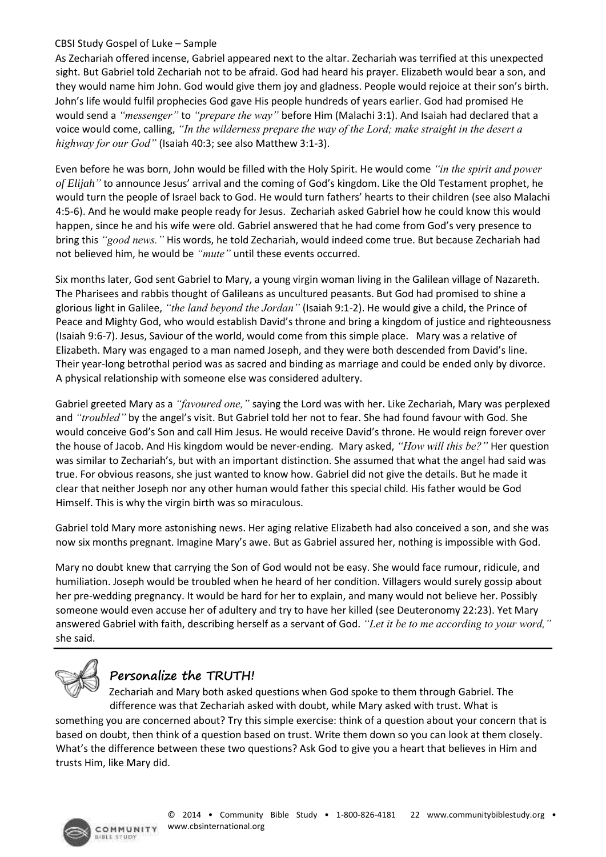#### CBSI Study Gospel of Luke – Sample

As Zechariah offered incense, Gabriel appeared next to the altar. Zechariah was terrified at this unexpected sight. But Gabriel told Zechariah not to be afraid. God had heard his prayer. Elizabeth would bear a son, and they would name him John. God would give them joy and gladness. People would rejoice at their son's birth. John's life would fulfil prophecies God gave His people hundreds of years earlier. God had promised He would send a *"messenger"* to *"prepare the way"* before Him (Malachi 3:1). And Isaiah had declared that a voice would come, calling, *"In the wilderness prepare the way of the Lord; make straight in the desert a highway for our God"* (Isaiah 40:3; see also Matthew 3:1-3).

Even before he was born, John would be filled with the Holy Spirit. He would come *"in the spirit and power of Elijah"* to announce Jesus' arrival and the coming of God's kingdom. Like the Old Testament prophet, he would turn the people of Israel back to God. He would turn fathers' hearts to their children (see also Malachi 4:5-6). And he would make people ready for Jesus. Zechariah asked Gabriel how he could know this would happen, since he and his wife were old. Gabriel answered that he had come from God's very presence to bring this *"good news."* His words, he told Zechariah, would indeed come true. But because Zechariah had not believed him, he would be *"mute"* until these events occurred.

Six months later, God sent Gabriel to Mary, a young virgin woman living in the Galilean village of Nazareth. The Pharisees and rabbis thought of Galileans as uncultured peasants. But God had promised to shine a glorious light in Galilee, *"the land beyond the Jordan"* (Isaiah 9:1-2). He would give a child, the Prince of Peace and Mighty God, who would establish David's throne and bring a kingdom of justice and righteousness (Isaiah 9:6-7). Jesus, Saviour of the world, would come from this simple place. Mary was a relative of Elizabeth. Mary was engaged to a man named Joseph, and they were both descended from David's line. Their year-long betrothal period was as sacred and binding as marriage and could be ended only by divorce. A physical relationship with someone else was considered adultery.

Gabriel greeted Mary as a *"favoured one,"* saying the Lord was with her. Like Zechariah, Mary was perplexed and *"troubled"* by the angel's visit. But Gabriel told her not to fear. She had found favour with God. She would conceive God's Son and call Him Jesus. He would receive David's throne. He would reign forever over the house of Jacob. And His kingdom would be never-ending. Mary asked, *"How will this be?"* Her question was similar to Zechariah's, but with an important distinction. She assumed that what the angel had said was true. For obvious reasons, she just wanted to know how. Gabriel did not give the details. But he made it clear that neither Joseph nor any other human would father this special child. His father would be God Himself. This is why the virgin birth was so miraculous.

Gabriel told Mary more astonishing news. Her aging relative Elizabeth had also conceived a son, and she was now six months pregnant. Imagine Mary's awe. But as Gabriel assured her, nothing is impossible with God.

Mary no doubt knew that carrying the Son of God would not be easy. She would face rumour, ridicule, and humiliation. Joseph would be troubled when he heard of her condition. Villagers would surely gossip about her pre-wedding pregnancy. It would be hard for her to explain, and many would not believe her. Possibly someone would even accuse her of adultery and try to have her killed (see Deuteronomy 22:23). Yet Mary answered Gabriel with faith, describing herself as a servant of God. *"Let it be to me according to your word,"*  she said.



### **Personalize the TRUTH!**

Zechariah and Mary both asked questions when God spoke to them through Gabriel. The difference was that Zechariah asked with doubt, while Mary asked with trust. What is something you are concerned about? Try this simple exercise: think of a question about your concern that is based on doubt, then think of a question based on trust. Write them down so you can look at them closely. What's the difference between these two questions? Ask God to give you a heart that believes in Him and trusts Him, like Mary did.